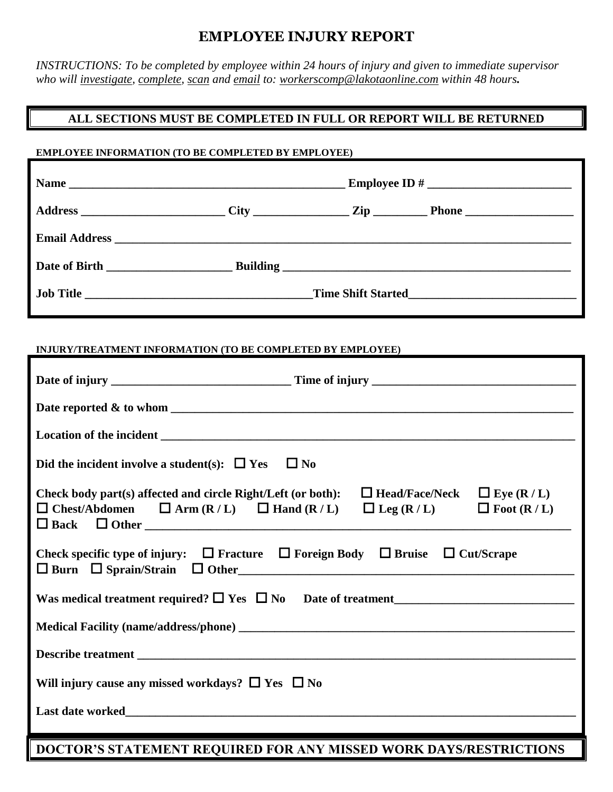## **EMPLOYEE INJURY REPORT**

*INSTRUCTIONS: To be completed by employee within 24 hours of injury and given to immediate supervisor who will investigate, complete, scan and email to: workerscomp@lakotaonline.com within 48 hours.*

## **ALL SECTIONS MUST BE COMPLETED IN FULL OR REPORT WILL BE RETURNED**

## **EMPLOYEE INFORMATION (TO BE COMPLETED BY EMPLOYEE)**

| Email Address Land and Security and Security and Security and Security and Security and Security and Security and Security and Security and Security and Security and Security and Security and Security and Security and Secu  |           |  |  |
|---------------------------------------------------------------------------------------------------------------------------------------------------------------------------------------------------------------------------------|-----------|--|--|
|                                                                                                                                                                                                                                 |           |  |  |
|                                                                                                                                                                                                                                 |           |  |  |
| INJURY/TREATMENT INFORMATION (TO BE COMPLETED BY EMPLOYEE)                                                                                                                                                                      |           |  |  |
|                                                                                                                                                                                                                                 |           |  |  |
|                                                                                                                                                                                                                                 |           |  |  |
|                                                                                                                                                                                                                                 |           |  |  |
| Did the incident involve a student(s): $\Box$ Yes                                                                                                                                                                               | $\Box$ No |  |  |
| Check body part(s) affected and circle Right/Left (or both): $\Box$ Head/Face/Neck $\Box$ Eye (R / L)<br>$\Box$ Chest/Abdomen $\Box$ Arm (R/L) $\Box$ Hand (R/L) $\Box$ Leg (R/L) $\Box$ Foot (R/L)<br>$\Box$ Back $\Box$ Other |           |  |  |
| Check specific type of injury: $\Box$ Fracture $\Box$ Foreign Body $\Box$ Bruise $\Box$ Cut/Scrape                                                                                                                              |           |  |  |
| Was medical treatment required? $\Box$ Yes $\Box$ No Date of treatment                                                                                                                                                          |           |  |  |
|                                                                                                                                                                                                                                 |           |  |  |
|                                                                                                                                                                                                                                 |           |  |  |
| Will injury cause any missed workdays? $\Box$ Yes $\Box$ No                                                                                                                                                                     |           |  |  |
|                                                                                                                                                                                                                                 |           |  |  |
| DOCTOR'S STATEMENT REQUIRED FOR ANY MISSED WORK DAYS/RESTRICTIONS                                                                                                                                                               |           |  |  |